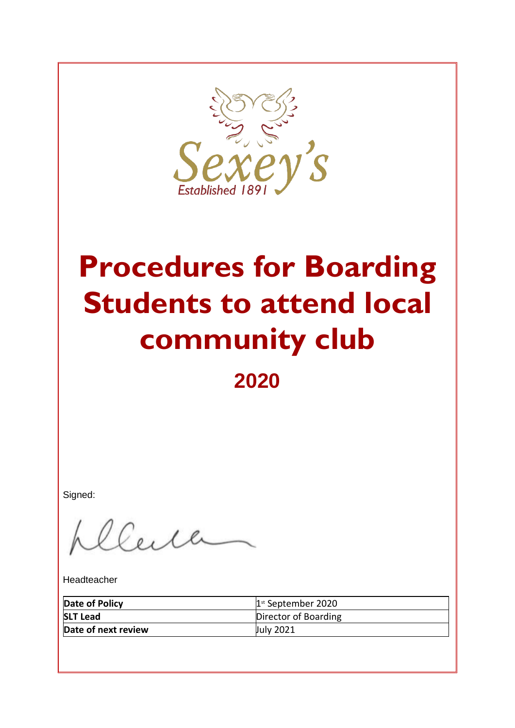

# **Procedures for Boarding Students to attend local community club**

# **2020**

Signed:

Certa

Headteacher

| Date of Policy      | $1st$ September 2020 |
|---------------------|----------------------|
| <b>SLT Lead</b>     | Director of Boarding |
| Date of next review | July 2021            |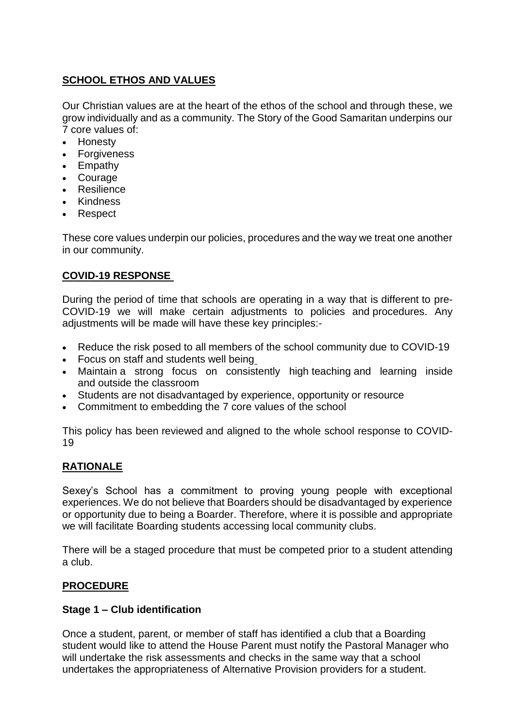#### **SCHOOL ETHOS AND VALUES**

Our Christian values are at the heart of the ethos of the school and through these, we grow individually and as a community. The Story of the Good Samaritan underpins our 7 core values of:

- Honesty
- Forgiveness
- Empathy
- Courage
- Resilience
- Kindness
- Respect

These core values underpin our policies, procedures and the way we treat one another in our community.

#### **COVID-19 RESPONSE**

During the period of time that schools are operating in a way that is different to pre-COVID-19 we will make certain adjustments to policies and procedures. Any adjustments will be made will have these key principles:-

- Reduce the risk posed to all members of the school community due to COVID-19
- Focus on staff and students well being
- Maintain a strong focus on consistently high teaching and learning inside and outside the classroom
- Students are not disadvantaged by experience, opportunity or resource
- Commitment to embedding the 7 core values of the school

This policy has been reviewed and aligned to the whole school response to COVID-19

#### **RATIONALE**

Sexey's School has a commitment to proving young people with exceptional experiences. We do not believe that Boarders should be disadvantaged by experience or opportunity due to being a Boarder. Therefore, where it is possible and appropriate we will facilitate Boarding students accessing local community clubs.

There will be a staged procedure that must be competed prior to a student attending a club.

#### **PROCEDURE**

#### **Stage 1 – Club identification**

Once a student, parent, or member of staff has identified a club that a Boarding student would like to attend the House Parent must notify the Pastoral Manager who will undertake the risk assessments and checks in the same way that a school undertakes the appropriateness of Alternative Provision providers for a student.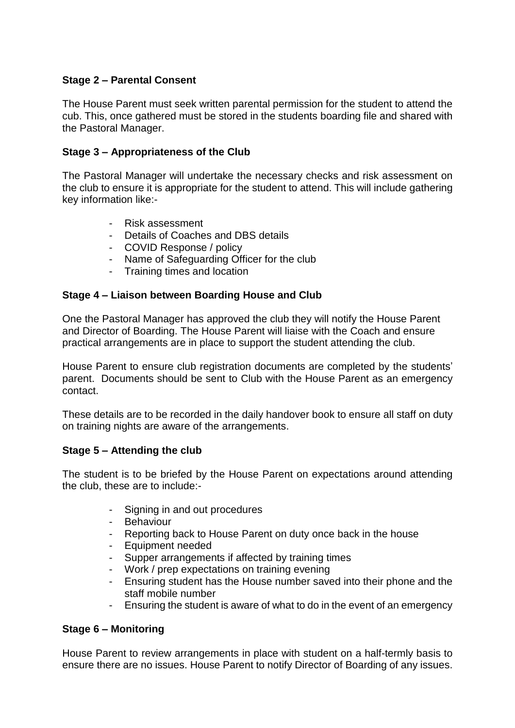#### **Stage 2 – Parental Consent**

The House Parent must seek written parental permission for the student to attend the cub. This, once gathered must be stored in the students boarding file and shared with the Pastoral Manager.

#### **Stage 3 – Appropriateness of the Club**

The Pastoral Manager will undertake the necessary checks and risk assessment on the club to ensure it is appropriate for the student to attend. This will include gathering key information like:-

- Risk assessment
- Details of Coaches and DBS details
- COVID Response / policy
- Name of Safeguarding Officer for the club
- Training times and location

#### **Stage 4 – Liaison between Boarding House and Club**

One the Pastoral Manager has approved the club they will notify the House Parent and Director of Boarding. The House Parent will liaise with the Coach and ensure practical arrangements are in place to support the student attending the club.

House Parent to ensure club registration documents are completed by the students' parent. Documents should be sent to Club with the House Parent as an emergency contact.

These details are to be recorded in the daily handover book to ensure all staff on duty on training nights are aware of the arrangements.

#### **Stage 5 – Attending the club**

The student is to be briefed by the House Parent on expectations around attending the club, these are to include:-

- Signing in and out procedures
- Behaviour
- Reporting back to House Parent on duty once back in the house
- Equipment needed
- Supper arrangements if affected by training times
- Work / prep expectations on training evening
- Ensuring student has the House number saved into their phone and the staff mobile number
- Ensuring the student is aware of what to do in the event of an emergency

#### **Stage 6 – Monitoring**

House Parent to review arrangements in place with student on a half-termly basis to ensure there are no issues. House Parent to notify Director of Boarding of any issues.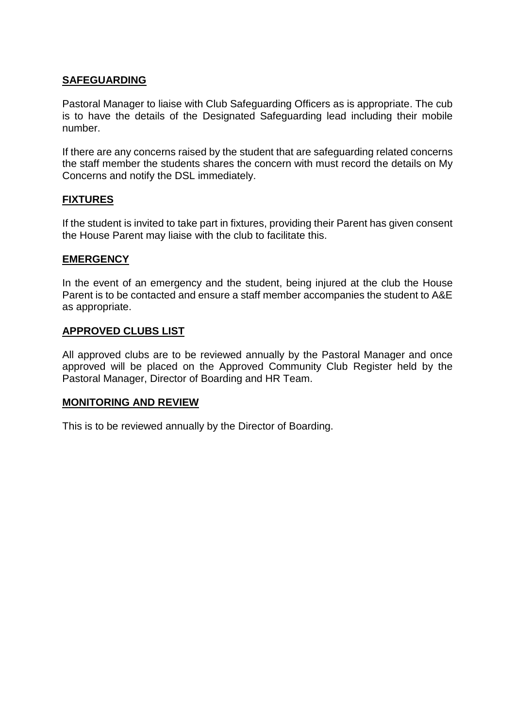#### **SAFEGUARDING**

Pastoral Manager to liaise with Club Safeguarding Officers as is appropriate. The cub is to have the details of the Designated Safeguarding lead including their mobile number.

If there are any concerns raised by the student that are safeguarding related concerns the staff member the students shares the concern with must record the details on My Concerns and notify the DSL immediately.

#### **FIXTURES**

If the student is invited to take part in fixtures, providing their Parent has given consent the House Parent may liaise with the club to facilitate this.

#### **EMERGENCY**

In the event of an emergency and the student, being injured at the club the House Parent is to be contacted and ensure a staff member accompanies the student to A&E as appropriate.

#### **APPROVED CLUBS LIST**

All approved clubs are to be reviewed annually by the Pastoral Manager and once approved will be placed on the Approved Community Club Register held by the Pastoral Manager, Director of Boarding and HR Team.

#### **MONITORING AND REVIEW**

This is to be reviewed annually by the Director of Boarding.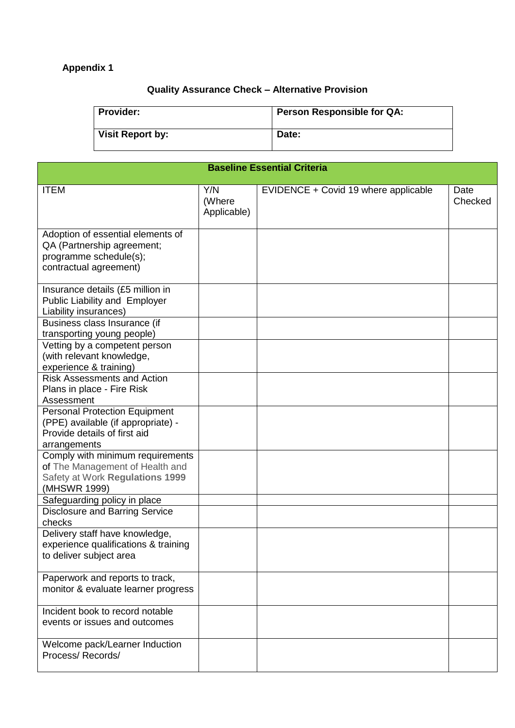## **Appendix 1**

## **Quality Assurance Check – Alternative Provision**

| <b>Provider:</b>        | <b>Person Responsible for QA:</b> |
|-------------------------|-----------------------------------|
| <b>Visit Report by:</b> | Date:                             |

| <b>Baseline Essential Criteria</b>                                                                                         |                              |                                      |                 |  |
|----------------------------------------------------------------------------------------------------------------------------|------------------------------|--------------------------------------|-----------------|--|
| <b>ITEM</b>                                                                                                                | Y/N<br>(Where<br>Applicable) | EVIDENCE + Covid 19 where applicable | Date<br>Checked |  |
| Adoption of essential elements of<br>QA (Partnership agreement;<br>programme schedule(s);<br>contractual agreement)        |                              |                                      |                 |  |
| Insurance details (£5 million in<br>Public Liability and Employer<br>Liability insurances)                                 |                              |                                      |                 |  |
| Business class Insurance (if<br>transporting young people)                                                                 |                              |                                      |                 |  |
| Vetting by a competent person<br>(with relevant knowledge,<br>experience & training)                                       |                              |                                      |                 |  |
| <b>Risk Assessments and Action</b><br>Plans in place - Fire Risk<br>Assessment                                             |                              |                                      |                 |  |
| <b>Personal Protection Equipment</b><br>(PPE) available (if appropriate) -<br>Provide details of first aid<br>arrangements |                              |                                      |                 |  |
| Comply with minimum requirements<br>of The Management of Health and<br>Safety at Work Regulations 1999<br>(MHSWR 1999)     |                              |                                      |                 |  |
| Safeguarding policy in place<br><b>Disclosure and Barring Service</b>                                                      |                              |                                      |                 |  |
| checks                                                                                                                     |                              |                                      |                 |  |
| Delivery staff have knowledge,<br>experience qualifications & training<br>to deliver subject area                          |                              |                                      |                 |  |
| Paperwork and reports to track,<br>monitor & evaluate learner progress                                                     |                              |                                      |                 |  |
| Incident book to record notable<br>events or issues and outcomes                                                           |                              |                                      |                 |  |
| Welcome pack/Learner Induction<br>Process/Records/                                                                         |                              |                                      |                 |  |